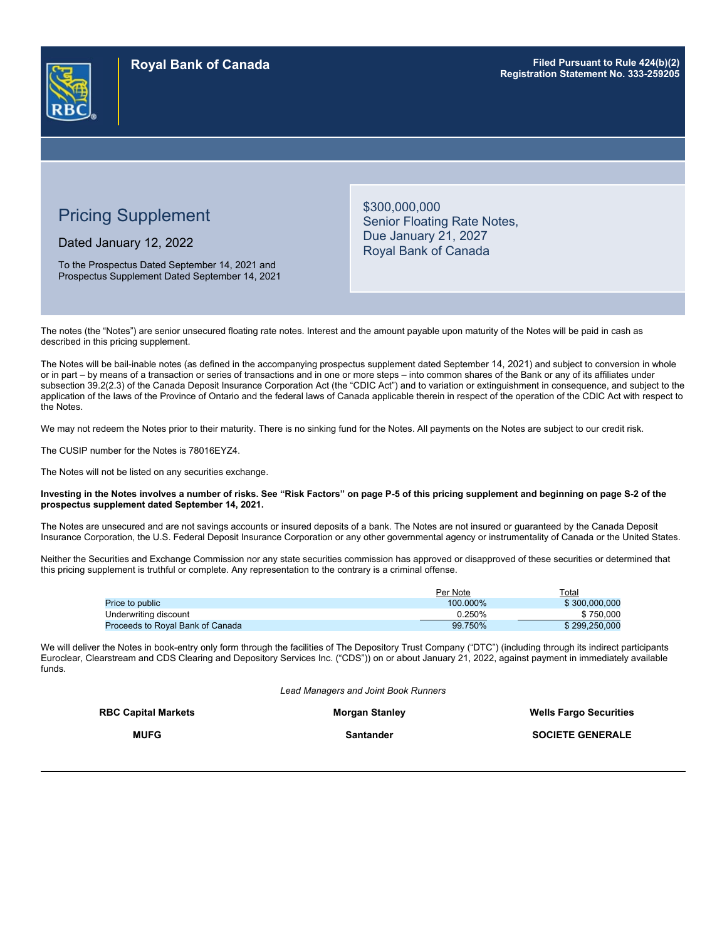

# Pricing Supplement

Dated January 12, 2022

To the Prospectus Dated September 14, 2021 and Prospectus Supplement Dated September 14, 2021 \$300,000,000 Senior Floating Rate Notes, Due January 21, 2027 Royal Bank of Canada

The notes (the "Notes") are senior unsecured floating rate notes. Interest and the amount payable upon maturity of the Notes will be paid in cash as described in this pricing supplement.

The Notes will be bail-inable notes (as defined in the accompanying prospectus supplement dated September 14, 2021) and subject to conversion in whole or in part – by means of a transaction or series of transactions and in one or more steps – into common shares of the Bank or any of its affiliates under subsection 39.2(2.3) of the Canada Deposit Insurance Corporation Act (the "CDIC Act") and to variation or extinguishment in consequence, and subject to the application of the laws of the Province of Ontario and the federal laws of Canada applicable therein in respect of the operation of the CDIC Act with respect to the Notes.

We may not redeem the Notes prior to their maturity. There is no sinking fund for the Notes. All payments on the Notes are subject to our credit risk.

The CUSIP number for the Notes is 78016EYZ4.

The Notes will not be listed on any securities exchange.

#### **Investing in the Notes involves a number of risks. See "Risk Factors" on page P-5 of this pricing supplement and beginning on page S-2 of the prospectus supplement dated September 14, 2021.**

The Notes are unsecured and are not savings accounts or insured deposits of a bank. The Notes are not insured or guaranteed by the Canada Deposit Insurance Corporation, the U.S. Federal Deposit Insurance Corporation or any other governmental agency or instrumentality of Canada or the United States.

Neither the Securities and Exchange Commission nor any state securities commission has approved or disapproved of these securities or determined that this pricing supplement is truthful or complete. Any representation to the contrary is a criminal offense.

|                                  | Per Note | $\tau$ otal   |
|----------------------------------|----------|---------------|
| <b>Price to public</b>           | 100.000% | \$300,000,000 |
| Underwriting discount            | 0.250%   | \$750.000     |
| Proceeds to Roval Bank of Canada | 99.750%  | \$299.250.000 |

We will deliver the Notes in book-entry only form through the facilities of The Depository Trust Company ("DTC") (including through its indirect participants Euroclear, Clearstream and CDS Clearing and Depository Services Inc. ("CDS")) on or about January 21, 2022, against payment in immediately available funds.

*Lead Managers and Joint Book Runners*

| <b>RBC Capital Markets</b> | <b>Morgan Stanley</b> | <b>Wells Fargo Securities</b> |
|----------------------------|-----------------------|-------------------------------|
| <b>MUFG</b>                | <b>Santander</b>      | <b>SOCIETE GENERALE</b>       |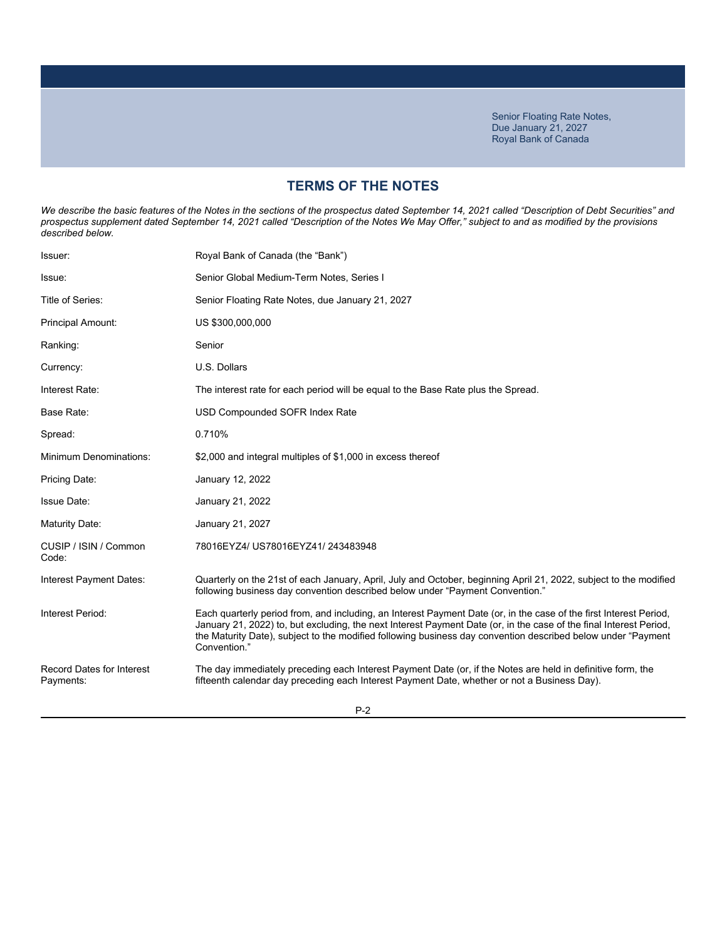## **TERMS OF THE NOTES**

We describe the basic features of the Notes in the sections of the prospectus dated September 14, 2021 called "Description of Debt Securities" and *prospectus supplement dated September 14, 2021 called "Description of the Notes We May Offer," subject to and as modified by the provisions described below.*

| Royal Bank of Canada (the "Bank")                                                                                                                                                                                                                                                                                                                                         |
|---------------------------------------------------------------------------------------------------------------------------------------------------------------------------------------------------------------------------------------------------------------------------------------------------------------------------------------------------------------------------|
| Senior Global Medium-Term Notes, Series I                                                                                                                                                                                                                                                                                                                                 |
| Senior Floating Rate Notes, due January 21, 2027                                                                                                                                                                                                                                                                                                                          |
| US \$300,000,000                                                                                                                                                                                                                                                                                                                                                          |
| Senior                                                                                                                                                                                                                                                                                                                                                                    |
| U.S. Dollars                                                                                                                                                                                                                                                                                                                                                              |
| The interest rate for each period will be equal to the Base Rate plus the Spread.                                                                                                                                                                                                                                                                                         |
| USD Compounded SOFR Index Rate                                                                                                                                                                                                                                                                                                                                            |
| 0.710%                                                                                                                                                                                                                                                                                                                                                                    |
| \$2,000 and integral multiples of \$1,000 in excess thereof                                                                                                                                                                                                                                                                                                               |
| January 12, 2022                                                                                                                                                                                                                                                                                                                                                          |
| January 21, 2022                                                                                                                                                                                                                                                                                                                                                          |
| January 21, 2027                                                                                                                                                                                                                                                                                                                                                          |
| 78016EYZ4/ US78016EYZ41/ 243483948                                                                                                                                                                                                                                                                                                                                        |
| Quarterly on the 21st of each January, April, July and October, beginning April 21, 2022, subject to the modified<br>following business day convention described below under "Payment Convention."                                                                                                                                                                        |
| Each quarterly period from, and including, an Interest Payment Date (or, in the case of the first Interest Period,<br>January 21, 2022) to, but excluding, the next Interest Payment Date (or, in the case of the final Interest Period,<br>the Maturity Date), subject to the modified following business day convention described below under "Payment"<br>Convention." |
| The day immediately preceding each Interest Payment Date (or, if the Notes are held in definitive form, the<br>fifteenth calendar day preceding each Interest Payment Date, whether or not a Business Day).                                                                                                                                                               |
|                                                                                                                                                                                                                                                                                                                                                                           |

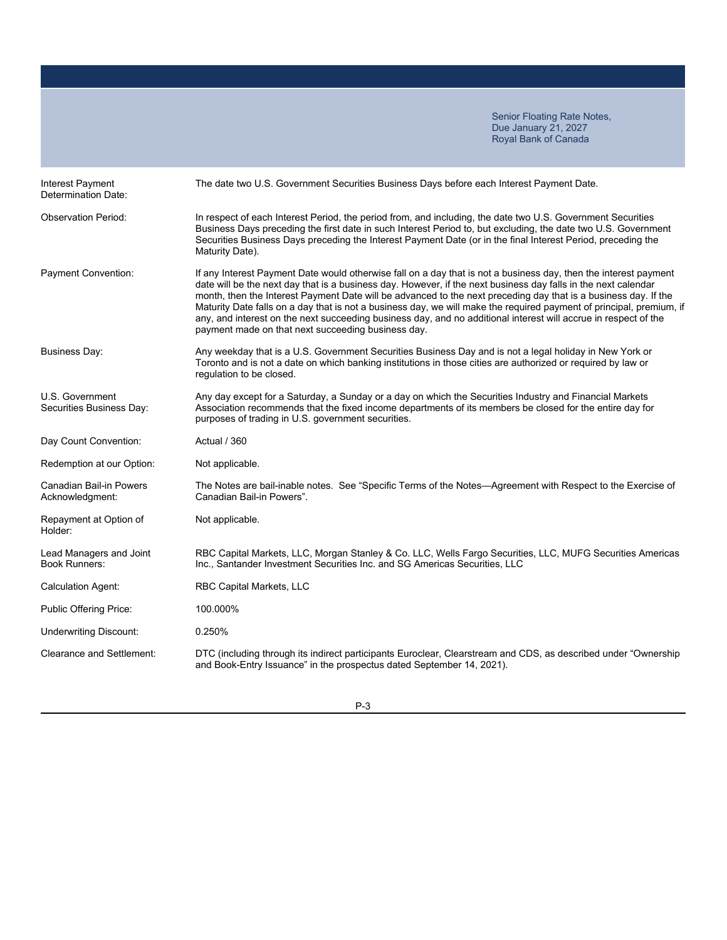| Interest Payment<br>Determination Date:           | The date two U.S. Government Securities Business Days before each Interest Payment Date.                                                                                                                                                                                                                                                                                                                                                                                                                                                                                                                                                               |
|---------------------------------------------------|--------------------------------------------------------------------------------------------------------------------------------------------------------------------------------------------------------------------------------------------------------------------------------------------------------------------------------------------------------------------------------------------------------------------------------------------------------------------------------------------------------------------------------------------------------------------------------------------------------------------------------------------------------|
| <b>Observation Period:</b>                        | In respect of each Interest Period, the period from, and including, the date two U.S. Government Securities<br>Business Days preceding the first date in such Interest Period to, but excluding, the date two U.S. Government<br>Securities Business Days preceding the Interest Payment Date (or in the final Interest Period, preceding the<br>Maturity Date).                                                                                                                                                                                                                                                                                       |
| Payment Convention:                               | If any Interest Payment Date would otherwise fall on a day that is not a business day, then the interest payment<br>date will be the next day that is a business day. However, if the next business day falls in the next calendar<br>month, then the Interest Payment Date will be advanced to the next preceding day that is a business day. If the<br>Maturity Date falls on a day that is not a business day, we will make the required payment of principal, premium, if<br>any, and interest on the next succeeding business day, and no additional interest will accrue in respect of the<br>payment made on that next succeeding business day. |
| <b>Business Day:</b>                              | Any weekday that is a U.S. Government Securities Business Day and is not a legal holiday in New York or<br>Toronto and is not a date on which banking institutions in those cities are authorized or required by law or<br>regulation to be closed.                                                                                                                                                                                                                                                                                                                                                                                                    |
| U.S. Government<br>Securities Business Day:       | Any day except for a Saturday, a Sunday or a day on which the Securities Industry and Financial Markets<br>Association recommends that the fixed income departments of its members be closed for the entire day for<br>purposes of trading in U.S. government securities.                                                                                                                                                                                                                                                                                                                                                                              |
| Day Count Convention:                             | Actual / 360                                                                                                                                                                                                                                                                                                                                                                                                                                                                                                                                                                                                                                           |
| Redemption at our Option:                         | Not applicable.                                                                                                                                                                                                                                                                                                                                                                                                                                                                                                                                                                                                                                        |
| <b>Canadian Bail-in Powers</b><br>Acknowledgment: | The Notes are bail-inable notes. See "Specific Terms of the Notes-Agreement with Respect to the Exercise of<br>Canadian Bail-in Powers".                                                                                                                                                                                                                                                                                                                                                                                                                                                                                                               |
| Repayment at Option of<br>Holder:                 | Not applicable.                                                                                                                                                                                                                                                                                                                                                                                                                                                                                                                                                                                                                                        |
| Lead Managers and Joint<br><b>Book Runners:</b>   | RBC Capital Markets, LLC, Morgan Stanley & Co. LLC, Wells Fargo Securities, LLC, MUFG Securities Americas<br>Inc., Santander Investment Securities Inc. and SG Americas Securities, LLC                                                                                                                                                                                                                                                                                                                                                                                                                                                                |
| <b>Calculation Agent:</b>                         | <b>RBC Capital Markets, LLC</b>                                                                                                                                                                                                                                                                                                                                                                                                                                                                                                                                                                                                                        |
| <b>Public Offering Price:</b>                     | 100.000%                                                                                                                                                                                                                                                                                                                                                                                                                                                                                                                                                                                                                                               |
| <b>Underwriting Discount:</b>                     | 0.250%                                                                                                                                                                                                                                                                                                                                                                                                                                                                                                                                                                                                                                                 |
| <b>Clearance and Settlement:</b>                  | DTC (including through its indirect participants Euroclear, Clearstream and CDS, as described under "Ownership<br>and Book-Entry Issuance" in the prospectus dated September 14, 2021).                                                                                                                                                                                                                                                                                                                                                                                                                                                                |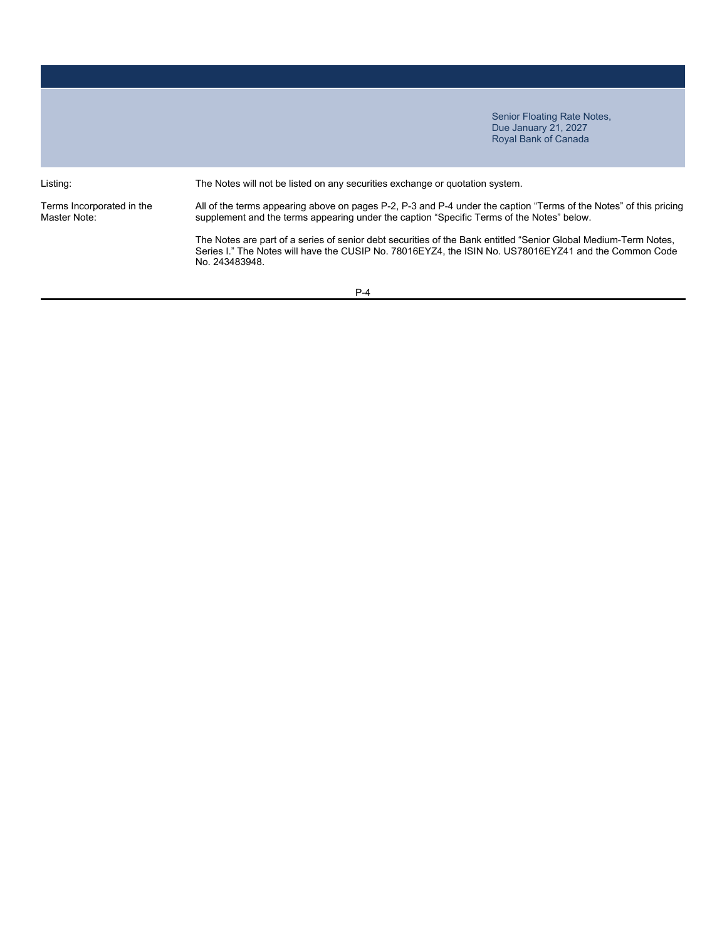Terms Incorporated in the Master Note:

Listing: The Notes will not be listed on any securities exchange or quotation system.

All of the terms appearing above on pages P-2, P-3 and P-4 under the caption "Terms of the Notes" of this pricing supplement and the terms appearing under the caption "Specific Terms of the Notes" below.

The Notes are part of a series of senior debt securities of the Bank entitled "Senior Global Medium-Term Notes, Series I." The Notes will have the CUSIP No. 78016EYZ4, the ISIN No. US78016EYZ41 and the Common Code No. 243483948.

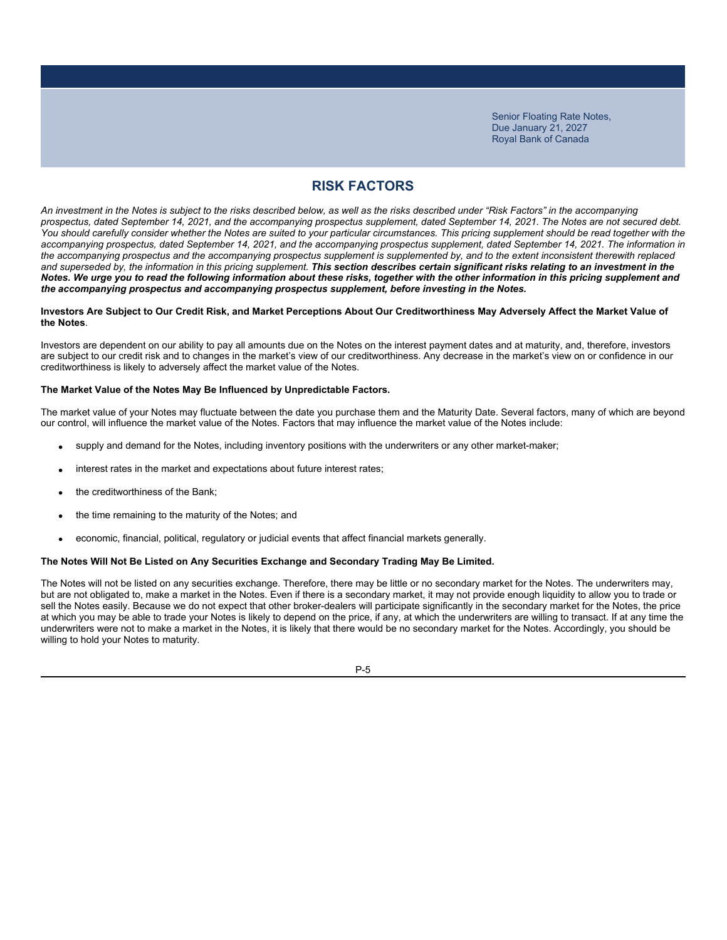### **RISK FACTORS**

*An investment in the Notes is subject to the risks described below, as well as the risks described under "Risk Factors" in the accompanying prospectus, dated September 14, 2021, and the accompanying prospectus supplement, dated September 14, 2021. The Notes are not secured debt.*  You should carefully consider whether the Notes are suited to your particular circumstances. This pricing supplement should be read together with the *accompanying prospectus, dated September 14, 2021, and the accompanying prospectus supplement, dated September 14, 2021. The information in the accompanying prospectus and the accompanying prospectus supplement is supplemented by, and to the extent inconsistent therewith replaced*  and superseded by, the information in this pricing supplement. This section describes certain significant risks relating to an investment in the *Notes. We urge you to read the following information about these risks, together with the other information in this pricing supplement and the accompanying prospectus and accompanying prospectus supplement, before investing in the Notes.*

#### **Investors Are Subject to Our Credit Risk, and Market Perceptions About Our Creditworthiness May Adversely Affect the Market Value of the Notes**.

Investors are dependent on our ability to pay all amounts due on the Notes on the interest payment dates and at maturity, and, therefore, investors are subject to our credit risk and to changes in the market's view of our creditworthiness. Any decrease in the market's view on or confidence in our creditworthiness is likely to adversely affect the market value of the Notes.

### **The Market Value of the Notes May Be Influenced by Unpredictable Factors.**

The market value of your Notes may fluctuate between the date you purchase them and the Maturity Date. Several factors, many of which are beyond our control, will influence the market value of the Notes. Factors that may influence the market value of the Notes include:

- supply and demand for the Notes, including inventory positions with the underwriters or any other market-maker;
- interest rates in the market and expectations about future interest rates;
- the creditworthiness of the Bank;
- the time remaining to the maturity of the Notes; and
- economic, financial, political, regulatory or judicial events that affect financial markets generally.

#### **The Notes Will Not Be Listed on Any Securities Exchange and Secondary Trading May Be Limited.**

The Notes will not be listed on any securities exchange. Therefore, there may be little or no secondary market for the Notes. The underwriters may, but are not obligated to, make a market in the Notes. Even if there is a secondary market, it may not provide enough liquidity to allow you to trade or sell the Notes easily. Because we do not expect that other broker-dealers will participate significantly in the secondary market for the Notes, the price at which you may be able to trade your Notes is likely to depend on the price, if any, at which the underwriters are willing to transact. If at any time the underwriters were not to make a market in the Notes, it is likely that there would be no secondary market for the Notes. Accordingly, you should be willing to hold your Notes to maturity.

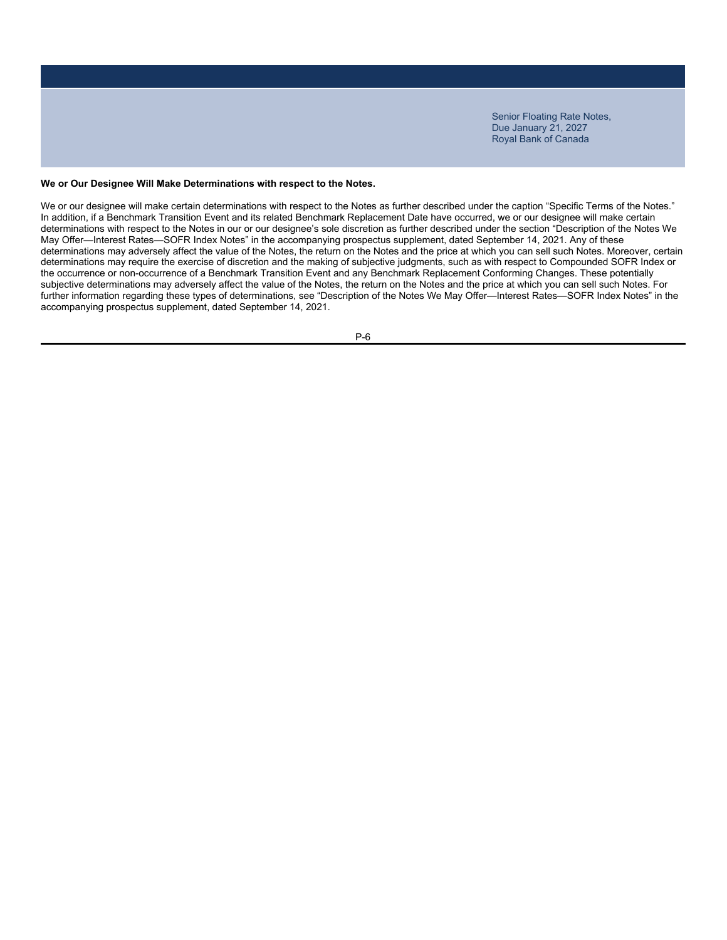#### **We or Our Designee Will Make Determinations with respect to the Notes.**

We or our designee will make certain determinations with respect to the Notes as further described under the caption "Specific Terms of the Notes." In addition, if a Benchmark Transition Event and its related Benchmark Replacement Date have occurred, we or our designee will make certain determinations with respect to the Notes in our or our designee's sole discretion as further described under the section "Description of the Notes We May Offer—Interest Rates—SOFR Index Notes" in the accompanying prospectus supplement, dated September 14, 2021. Any of these determinations may adversely affect the value of the Notes, the return on the Notes and the price at which you can sell such Notes. Moreover, certain determinations may require the exercise of discretion and the making of subjective judgments, such as with respect to Compounded SOFR Index or the occurrence or non-occurrence of a Benchmark Transition Event and any Benchmark Replacement Conforming Changes. These potentially subjective determinations may adversely affect the value of the Notes, the return on the Notes and the price at which you can sell such Notes. For further information regarding these types of determinations, see "Description of the Notes We May Offer—Interest Rates—SOFR Index Notes" in the accompanying prospectus supplement, dated September 14, 2021.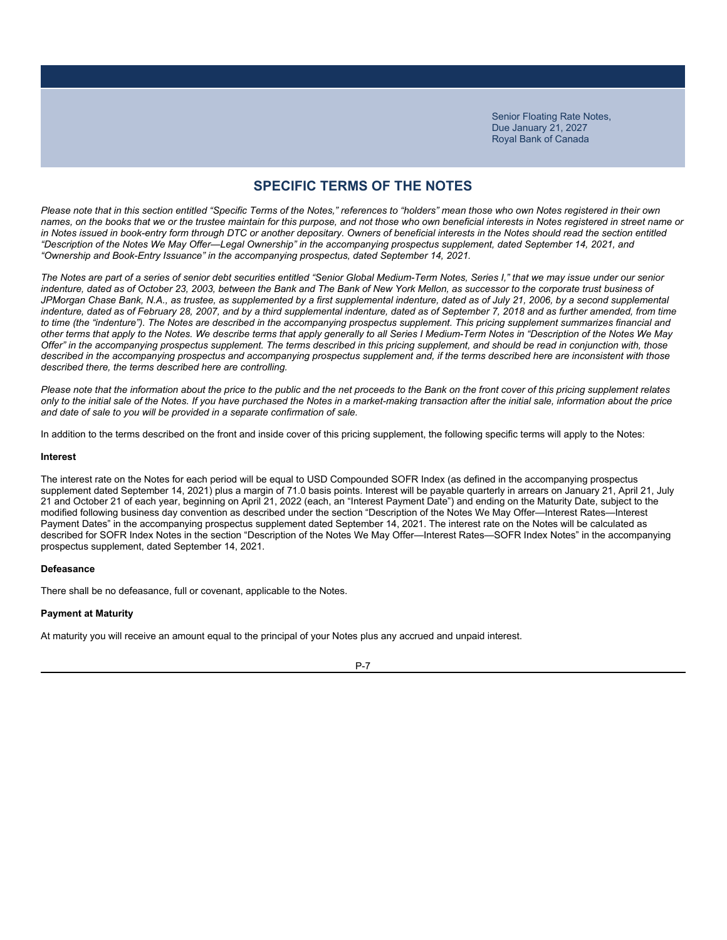### **SPECIFIC TERMS OF THE NOTES**

*Please note that in this section entitled "Specific Terms of the Notes," references to "holders" mean those who own Notes registered in their own names, on the books that we or the trustee maintain for this purpose, and not those who own beneficial interests in Notes registered in street name or*  in Notes issued in book-entry form through DTC or another depositary. Owners of beneficial interests in the Notes should read the section entitled *"Description of the Notes We May Offer—Legal Ownership" in the accompanying prospectus supplement, dated September 14, 2021, and "Ownership and Book-Entry Issuance" in the accompanying prospectus, dated September 14, 2021.*

*The Notes are part of a series of senior debt securities entitled "Senior Global Medium-Term Notes, Series I," that we may issue under our senior*  indenture, dated as of October 23, 2003, between the Bank and The Bank of New York Mellon, as successor to the corporate trust business of JPMorgan Chase Bank, N.A., as trustee, as supplemented by a first supplemental indenture, dated as of July 21, 2006, by a second supplemental indenture, dated as of February 28, 2007, and by a third supplemental indenture, dated as of September 7, 2018 and as further amended, from time *to time (the "indenture"). The Notes are described in the accompanying prospectus supplement. This pricing supplement summarizes financial and other terms that apply to the Notes. We describe terms that apply generally to all Series I Medium-Term Notes in "Description of the Notes We May Offer" in the accompanying prospectus supplement. The terms described in this pricing supplement, and should be read in conjunction with, those described in the accompanying prospectus and accompanying prospectus supplement and, if the terms described here are inconsistent with those described there, the terms described here are controlling.*

*Please note that the information about the price to the public and the net proceeds to the Bank on the front cover of this pricing supplement relates only to the initial sale of the Notes. If you have purchased the Notes in a market-making transaction after the initial sale, information about the price and date of sale to you will be provided in a separate confirmation of sale.*

In addition to the terms described on the front and inside cover of this pricing supplement, the following specific terms will apply to the Notes:

#### **Interest**

The interest rate on the Notes for each period will be equal to USD Compounded SOFR Index (as defined in the accompanying prospectus supplement dated September 14, 2021) plus a margin of 71.0 basis points. Interest will be payable quarterly in arrears on January 21, April 21, July 21 and October 21 of each year, beginning on April 21, 2022 (each, an "Interest Payment Date") and ending on the Maturity Date, subject to the modified following business day convention as described under the section "Description of the Notes We May Offer—Interest Rates—Interest Payment Dates" in the accompanying prospectus supplement dated September 14, 2021. The interest rate on the Notes will be calculated as described for SOFR Index Notes in the section "Description of the Notes We May Offer—Interest Rates—SOFR Index Notes" in the accompanying prospectus supplement, dated September 14, 2021.

#### **Defeasance**

There shall be no defeasance, full or covenant, applicable to the Notes.

#### **Payment at Maturity**

At maturity you will receive an amount equal to the principal of your Notes plus any accrued and unpaid interest.

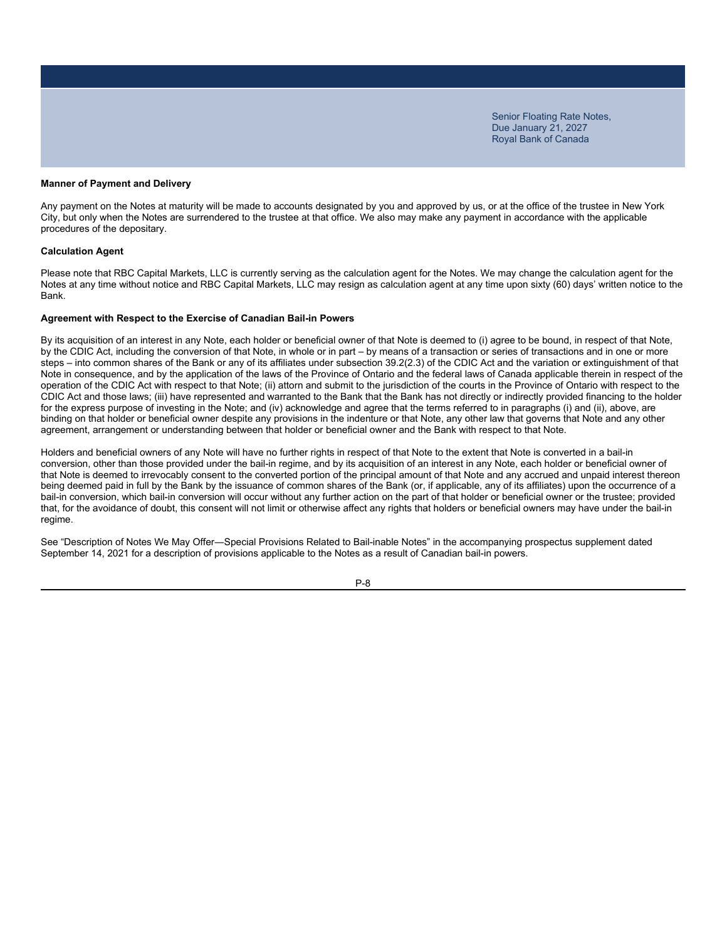#### **Manner of Payment and Delivery**

Any payment on the Notes at maturity will be made to accounts designated by you and approved by us, or at the office of the trustee in New York City, but only when the Notes are surrendered to the trustee at that office. We also may make any payment in accordance with the applicable procedures of the depositary.

#### **Calculation Agent**

Please note that RBC Capital Markets, LLC is currently serving as the calculation agent for the Notes. We may change the calculation agent for the Notes at any time without notice and RBC Capital Markets, LLC may resign as calculation agent at any time upon sixty (60) days' written notice to the Bank.

#### **Agreement with Respect to the Exercise of Canadian Bail-in Powers**

By its acquisition of an interest in any Note, each holder or beneficial owner of that Note is deemed to (i) agree to be bound, in respect of that Note, by the CDIC Act, including the conversion of that Note, in whole or in part – by means of a transaction or series of transactions and in one or more steps – into common shares of the Bank or any of its affiliates under subsection 39.2(2.3) of the CDIC Act and the variation or extinguishment of that Note in consequence, and by the application of the laws of the Province of Ontario and the federal laws of Canada applicable therein in respect of the operation of the CDIC Act with respect to that Note; (ii) attorn and submit to the jurisdiction of the courts in the Province of Ontario with respect to the CDIC Act and those laws; (iii) have represented and warranted to the Bank that the Bank has not directly or indirectly provided financing to the holder for the express purpose of investing in the Note; and (iv) acknowledge and agree that the terms referred to in paragraphs (i) and (ii), above, are binding on that holder or beneficial owner despite any provisions in the indenture or that Note, any other law that governs that Note and any other agreement, arrangement or understanding between that holder or beneficial owner and the Bank with respect to that Note.

Holders and beneficial owners of any Note will have no further rights in respect of that Note to the extent that Note is converted in a bail-in conversion, other than those provided under the bail-in regime, and by its acquisition of an interest in any Note, each holder or beneficial owner of that Note is deemed to irrevocably consent to the converted portion of the principal amount of that Note and any accrued and unpaid interest thereon being deemed paid in full by the Bank by the issuance of common shares of the Bank (or, if applicable, any of its affiliates) upon the occurrence of a bail-in conversion, which bail-in conversion will occur without any further action on the part of that holder or beneficial owner or the trustee; provided that, for the avoidance of doubt, this consent will not limit or otherwise affect any rights that holders or beneficial owners may have under the bail-in regime.

See "Description of Notes We May Offer―Special Provisions Related to Bail-inable Notes" in the accompanying prospectus supplement dated September 14, 2021 for a description of provisions applicable to the Notes as a result of Canadian bail-in powers.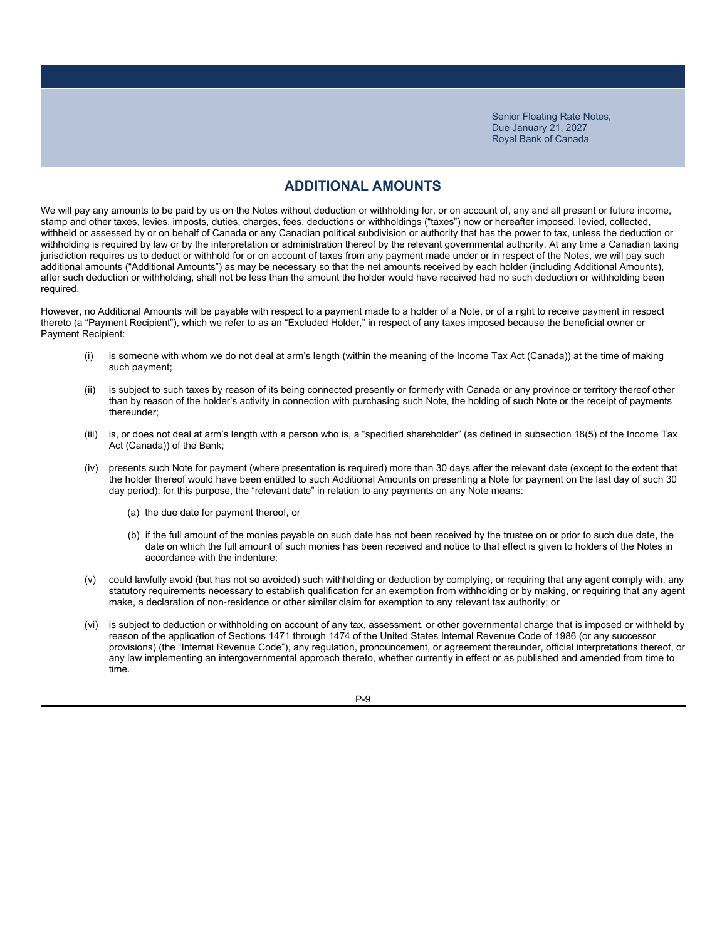### **ADDITIONAL AMOUNTS**

We will pay any amounts to be paid by us on the Notes without deduction or withholding for, or on account of, any and all present or future income, stamp and other taxes, levies, imposts, duties, charges, fees, deductions or withholdings ("taxes") now or hereafter imposed, levied, collected, withheld or assessed by or on behalf of Canada or any Canadian political subdivision or authority that has the power to tax, unless the deduction or withholding is required by law or by the interpretation or administration thereof by the relevant governmental authority. At any time a Canadian taxing jurisdiction requires us to deduct or withhold for or on account of taxes from any payment made under or in respect of the Notes, we will pay such additional amounts ("Additional Amounts") as may be necessary so that the net amounts received by each holder (including Additional Amounts), after such deduction or withholding, shall not be less than the amount the holder would have received had no such deduction or withholding been required.

However, no Additional Amounts will be payable with respect to a payment made to a holder of a Note, or of a right to receive payment in respect thereto (a "Payment Recipient"), which we refer to as an "Excluded Holder," in respect of any taxes imposed because the beneficial owner or Payment Recipient:

- (i) is someone with whom we do not deal at arm's length (within the meaning of the Income Tax Act (Canada)) at the time of making such payment;
- (ii) is subject to such taxes by reason of its being connected presently or formerly with Canada or any province or territory thereof other than by reason of the holder's activity in connection with purchasing such Note, the holding of such Note or the receipt of payments thereunder;
- (iii) is, or does not deal at arm's length with a person who is, a "specified shareholder" (as defined in subsection 18(5) of the Income Tax Act (Canada)) of the Bank;
- (iv) presents such Note for payment (where presentation is required) more than 30 days after the relevant date (except to the extent that the holder thereof would have been entitled to such Additional Amounts on presenting a Note for payment on the last day of such 30 day period); for this purpose, the "relevant date" in relation to any payments on any Note means:
	- (a) the due date for payment thereof, or
	- (b) if the full amount of the monies payable on such date has not been received by the trustee on or prior to such due date, the date on which the full amount of such monies has been received and notice to that effect is given to holders of the Notes in accordance with the indenture;
- (v) could lawfully avoid (but has not so avoided) such withholding or deduction by complying, or requiring that any agent comply with, any statutory requirements necessary to establish qualification for an exemption from withholding or by making, or requiring that any agent make, a declaration of non-residence or other similar claim for exemption to any relevant tax authority; or
- (vi) is subject to deduction or withholding on account of any tax, assessment, or other governmental charge that is imposed or withheld by reason of the application of Sections 1471 through 1474 of the United States Internal Revenue Code of 1986 (or any successor provisions) (the "Internal Revenue Code"), any regulation, pronouncement, or agreement thereunder, official interpretations thereof, or any law implementing an intergovernmental approach thereto, whether currently in effect or as published and amended from time to time.

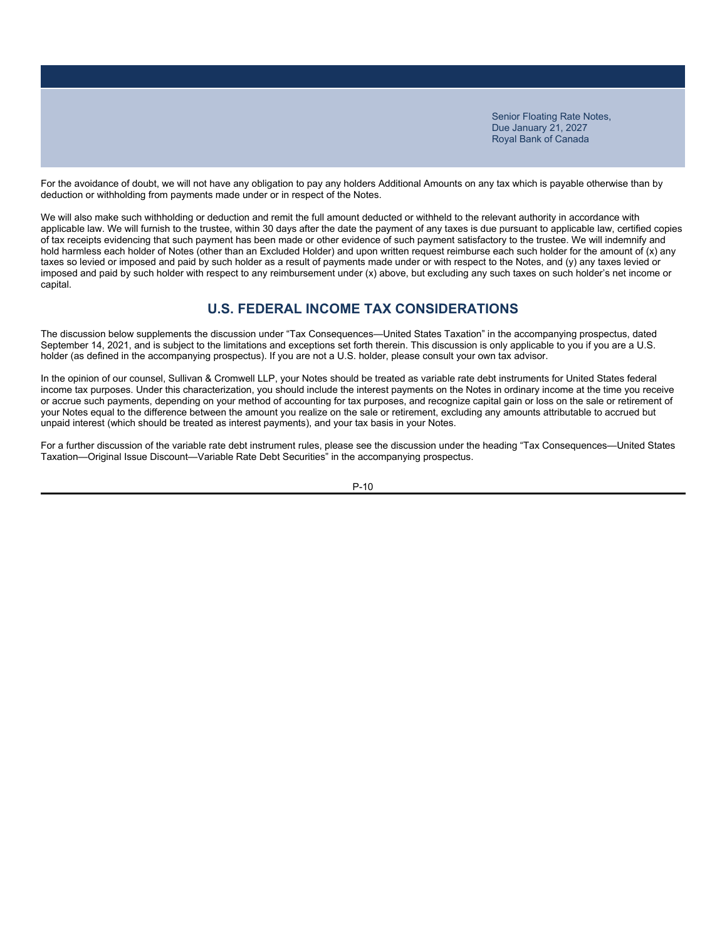For the avoidance of doubt, we will not have any obligation to pay any holders Additional Amounts on any tax which is payable otherwise than by deduction or withholding from payments made under or in respect of the Notes.

We will also make such withholding or deduction and remit the full amount deducted or withheld to the relevant authority in accordance with applicable law. We will furnish to the trustee, within 30 days after the date the payment of any taxes is due pursuant to applicable law, certified copies of tax receipts evidencing that such payment has been made or other evidence of such payment satisfactory to the trustee. We will indemnify and hold harmless each holder of Notes (other than an Excluded Holder) and upon written request reimburse each such holder for the amount of (x) any taxes so levied or imposed and paid by such holder as a result of payments made under or with respect to the Notes, and (y) any taxes levied or imposed and paid by such holder with respect to any reimbursement under (x) above, but excluding any such taxes on such holder's net income or capital.

### **U.S. FEDERAL INCOME TAX CONSIDERATIONS**

The discussion below supplements the discussion under "Tax Consequences—United States Taxation" in the accompanying prospectus, dated September 14, 2021, and is subject to the limitations and exceptions set forth therein. This discussion is only applicable to you if you are a U.S. holder (as defined in the accompanying prospectus). If you are not a U.S. holder, please consult your own tax advisor.

In the opinion of our counsel, Sullivan & Cromwell LLP, your Notes should be treated as variable rate debt instruments for United States federal income tax purposes. Under this characterization, you should include the interest payments on the Notes in ordinary income at the time you receive or accrue such payments, depending on your method of accounting for tax purposes, and recognize capital gain or loss on the sale or retirement of your Notes equal to the difference between the amount you realize on the sale or retirement, excluding any amounts attributable to accrued but unpaid interest (which should be treated as interest payments), and your tax basis in your Notes.

For a further discussion of the variable rate debt instrument rules, please see the discussion under the heading "Tax Consequences—United States Taxation—Original Issue Discount—Variable Rate Debt Securities" in the accompanying prospectus.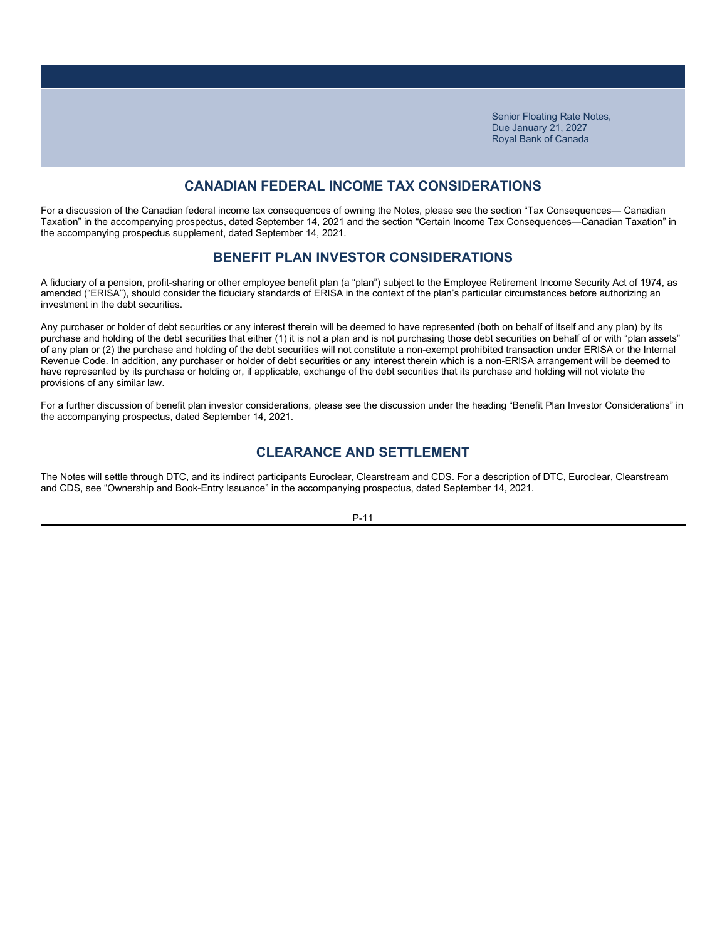### **CANADIAN FEDERAL INCOME TAX CONSIDERATIONS**

For a discussion of the Canadian federal income tax consequences of owning the Notes, please see the section "Tax Consequences— Canadian Taxation" in the accompanying prospectus, dated September 14, 2021 and the section "Certain Income Tax Consequences—Canadian Taxation" in the accompanying prospectus supplement, dated September 14, 2021.

### **BENEFIT PLAN INVESTOR CONSIDERATIONS**

A fiduciary of a pension, profit-sharing or other employee benefit plan (a "plan") subject to the Employee Retirement Income Security Act of 1974, as amended ("ERISA"), should consider the fiduciary standards of ERISA in the context of the plan's particular circumstances before authorizing an investment in the debt securities.

Any purchaser or holder of debt securities or any interest therein will be deemed to have represented (both on behalf of itself and any plan) by its purchase and holding of the debt securities that either (1) it is not a plan and is not purchasing those debt securities on behalf of or with "plan assets" of any plan or (2) the purchase and holding of the debt securities will not constitute a non-exempt prohibited transaction under ERISA or the Internal Revenue Code. In addition, any purchaser or holder of debt securities or any interest therein which is a non-ERISA arrangement will be deemed to have represented by its purchase or holding or, if applicable, exchange of the debt securities that its purchase and holding will not violate the provisions of any similar law.

For a further discussion of benefit plan investor considerations, please see the discussion under the heading "Benefit Plan Investor Considerations" in the accompanying prospectus, dated September 14, 2021.

### **CLEARANCE AND SETTLEMENT**

The Notes will settle through DTC, and its indirect participants Euroclear, Clearstream and CDS. For a description of DTC, Euroclear, Clearstream and CDS, see "Ownership and Book-Entry Issuance" in the accompanying prospectus, dated September 14, 2021.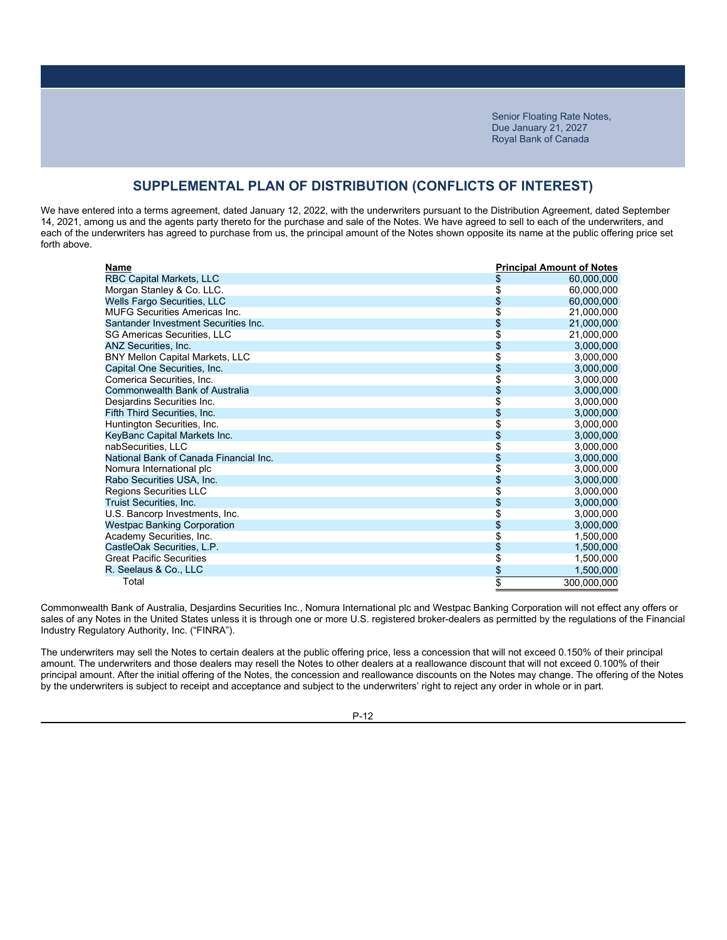### **SUPPLEMENTAL PLAN OF DISTRIBUTION (CONFLICTS OF INTEREST)**

We have entered into a terms agreement, dated January 12, 2022, with the underwriters pursuant to the Distribution Agreement, dated September 14, 2021, among us and the agents party thereto for the purchase and sale of the Notes. We have agreed to sell to each of the underwriters, and each of the underwriters has agreed to purchase from us, the principal amount of the Notes shown opposite its name at the public offering price set forth above.

| Name                                   |    | <b>Principal Amount of Notes</b> |
|----------------------------------------|----|----------------------------------|
| RBC Capital Markets, LLC               | \$ | 60,000,000                       |
| Morgan Stanley & Co. LLC.              | \$ | 60,000,000                       |
| Wells Fargo Securities, LLC            | \$ | 60,000,000                       |
| <b>MUFG Securities Americas Inc.</b>   | \$ | 21,000,000                       |
| Santander Investment Securities Inc.   | \$ | 21,000,000                       |
| <b>SG Americas Securities, LLC</b>     | \$ | 21,000,000                       |
| ANZ Securities, Inc.                   | \$ | 3,000,000                        |
| <b>BNY Mellon Capital Markets, LLC</b> | \$ | 3,000,000                        |
| Capital One Securities, Inc.           | \$ | 3,000,000                        |
| Comerica Securities, Inc.              | \$ | 3,000,000                        |
| Commonwealth Bank of Australia         | \$ | 3,000,000                        |
| Desjardins Securities Inc.             | S  | 3,000,000                        |
| Fifth Third Securities, Inc.           | \$ | 3,000,000                        |
| Huntington Securities, Inc.            | \$ | 3,000,000                        |
| KeyBanc Capital Markets Inc.           | \$ | 3,000,000                        |
| nabSecurities. LLC                     |    | 3,000,000                        |
| National Bank of Canada Financial Inc. | \$ | 3,000,000                        |
| Nomura International plc               | \$ | 3,000,000                        |
| Rabo Securities USA, Inc.              | \$ | 3,000,000                        |
| Regions Securities LLC                 | \$ | 3,000,000                        |
| Truist Securities, Inc.                | \$ | 3,000,000                        |
| U.S. Bancorp Investments, Inc.         | \$ | 3,000,000                        |
| <b>Westpac Banking Corporation</b>     | \$ | 3,000,000                        |
| Academy Securities, Inc.               | \$ | 1,500,000                        |
| CastleOak Securities, L.P.             | \$ | 1,500,000                        |
| <b>Great Pacific Securities</b>        | \$ | 1,500,000                        |
| R. Seelaus & Co., LLC                  | \$ | 1,500,000                        |
| Total                                  | \$ | 300,000,000                      |

Commonwealth Bank of Australia, Desjardins Securities Inc., Nomura International plc and Westpac Banking Corporation will not effect any offers or sales of any Notes in the United States unless it is through one or more U.S. registered broker-dealers as permitted by the regulations of the Financial Industry Regulatory Authority, Inc. ("FINRA").

The underwriters may sell the Notes to certain dealers at the public offering price, less a concession that will not exceed 0.150% of their principal amount. The underwriters and those dealers may resell the Notes to other dealers at a reallowance discount that will not exceed 0.100% of their principal amount. After the initial offering of the Notes, the concession and reallowance discounts on the Notes may change. The offering of the Notes by the underwriters is subject to receipt and acceptance and subject to the underwriters' right to reject any order in whole or in part.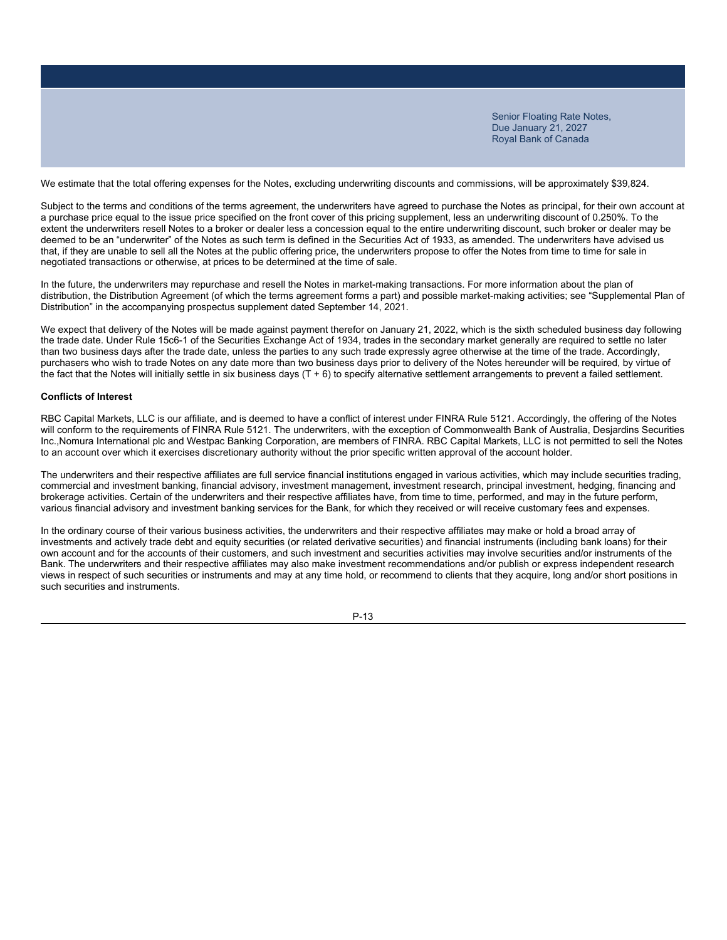We estimate that the total offering expenses for the Notes, excluding underwriting discounts and commissions, will be approximately \$39,824.

Subject to the terms and conditions of the terms agreement, the underwriters have agreed to purchase the Notes as principal, for their own account at a purchase price equal to the issue price specified on the front cover of this pricing supplement, less an underwriting discount of 0.250%. To the extent the underwriters resell Notes to a broker or dealer less a concession equal to the entire underwriting discount, such broker or dealer may be deemed to be an "underwriter" of the Notes as such term is defined in the Securities Act of 1933, as amended. The underwriters have advised us that, if they are unable to sell all the Notes at the public offering price, the underwriters propose to offer the Notes from time to time for sale in negotiated transactions or otherwise, at prices to be determined at the time of sale.

In the future, the underwriters may repurchase and resell the Notes in market-making transactions. For more information about the plan of distribution, the Distribution Agreement (of which the terms agreement forms a part) and possible market-making activities; see "Supplemental Plan of Distribution" in the accompanying prospectus supplement dated September 14, 2021.

We expect that delivery of the Notes will be made against payment therefor on January 21, 2022, which is the sixth scheduled business day following the trade date. Under Rule 15c6-1 of the Securities Exchange Act of 1934, trades in the secondary market generally are required to settle no later than two business days after the trade date, unless the parties to any such trade expressly agree otherwise at the time of the trade. Accordingly, purchasers who wish to trade Notes on any date more than two business days prior to delivery of the Notes hereunder will be required, by virtue of the fact that the Notes will initially settle in six business days (T + 6) to specify alternative settlement arrangements to prevent a failed settlement.

#### **Conflicts of Interest**

RBC Capital Markets, LLC is our affiliate, and is deemed to have a conflict of interest under FINRA Rule 5121. Accordingly, the offering of the Notes will conform to the requirements of FINRA Rule 5121. The underwriters, with the exception of Commonwealth Bank of Australia, Desjardins Securities Inc.,Nomura International plc and Westpac Banking Corporation, are members of FINRA. RBC Capital Markets, LLC is not permitted to sell the Notes to an account over which it exercises discretionary authority without the prior specific written approval of the account holder.

The underwriters and their respective affiliates are full service financial institutions engaged in various activities, which may include securities trading, commercial and investment banking, financial advisory, investment management, investment research, principal investment, hedging, financing and brokerage activities. Certain of the underwriters and their respective affiliates have, from time to time, performed, and may in the future perform, various financial advisory and investment banking services for the Bank, for which they received or will receive customary fees and expenses.

In the ordinary course of their various business activities, the underwriters and their respective affiliates may make or hold a broad array of investments and actively trade debt and equity securities (or related derivative securities) and financial instruments (including bank loans) for their own account and for the accounts of their customers, and such investment and securities activities may involve securities and/or instruments of the Bank. The underwriters and their respective affiliates may also make investment recommendations and/or publish or express independent research views in respect of such securities or instruments and may at any time hold, or recommend to clients that they acquire, long and/or short positions in such securities and instruments.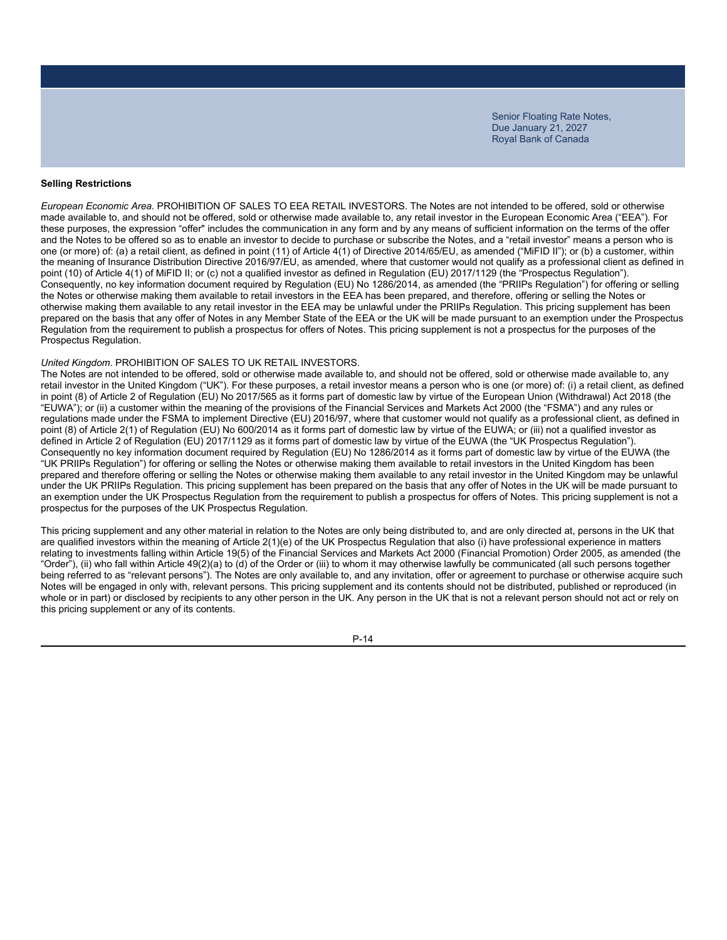#### **Selling Restrictions**

*European Economic Area.* PROHIBITION OF SALES TO EEA RETAIL INVESTORS. The Notes are not intended to be offered, sold or otherwise made available to, and should not be offered, sold or otherwise made available to, any retail investor in the European Economic Area ("EEA"). For these purposes, the expression "offer" includes the communication in any form and by any means of sufficient information on the terms of the offer and the Notes to be offered so as to enable an investor to decide to purchase or subscribe the Notes, and a "retail investor" means a person who is one (or more) of: (a) a retail client, as defined in point (11) of Article 4(1) of Directive 2014/65/EU, as amended ("MiFID II"); or (b) a customer, within the meaning of Insurance Distribution Directive 2016/97/EU, as amended, where that customer would not qualify as a professional client as defined in point (10) of Article 4(1) of MiFID II; or (c) not a qualified investor as defined in Regulation (EU) 2017/1129 (the "Prospectus Regulation"). Consequently, no key information document required by Regulation (EU) No 1286/2014, as amended (the "PRIIPs Regulation") for offering or selling the Notes or otherwise making them available to retail investors in the EEA has been prepared, and therefore, offering or selling the Notes or otherwise making them available to any retail investor in the EEA may be unlawful under the PRIIPs Regulation. This pricing supplement has been prepared on the basis that any offer of Notes in any Member State of the EEA or the UK will be made pursuant to an exemption under the Prospectus Regulation from the requirement to publish a prospectus for offers of Notes. This pricing supplement is not a prospectus for the purposes of the Prospectus Regulation.

#### *United Kingdom*. PROHIBITION OF SALES TO UK RETAIL INVESTORS.

The Notes are not intended to be offered, sold or otherwise made available to, and should not be offered, sold or otherwise made available to, any retail investor in the United Kingdom ("UK"). For these purposes, a retail investor means a person who is one (or more) of: (i) a retail client, as defined in point (8) of Article 2 of Regulation (EU) No 2017/565 as it forms part of domestic law by virtue of the European Union (Withdrawal) Act 2018 (the "EUWA"); or (ii) a customer within the meaning of the provisions of the Financial Services and Markets Act 2000 (the "FSMA") and any rules or regulations made under the FSMA to implement Directive (EU) 2016/97, where that customer would not qualify as a professional client, as defined in point (8) of Article 2(1) of Regulation (EU) No 600/2014 as it forms part of domestic law by virtue of the EUWA; or (iii) not a qualified investor as defined in Article 2 of Regulation (EU) 2017/1129 as it forms part of domestic law by virtue of the EUWA (the "UK Prospectus Regulation"). Consequently no key information document required by Regulation (EU) No 1286/2014 as it forms part of domestic law by virtue of the EUWA (the "UK PRIIPs Regulation") for offering or selling the Notes or otherwise making them available to retail investors in the United Kingdom has been prepared and therefore offering or selling the Notes or otherwise making them available to any retail investor in the United Kingdom may be unlawful under the UK PRIIPs Regulation. This pricing supplement has been prepared on the basis that any offer of Notes in the UK will be made pursuant to an exemption under the UK Prospectus Regulation from the requirement to publish a prospectus for offers of Notes. This pricing supplement is not a prospectus for the purposes of the UK Prospectus Regulation.

This pricing supplement and any other material in relation to the Notes are only being distributed to, and are only directed at, persons in the UK that are qualified investors within the meaning of Article 2(1)(e) of the UK Prospectus Regulation that also (i) have professional experience in matters relating to investments falling within Article 19(5) of the Financial Services and Markets Act 2000 (Financial Promotion) Order 2005, as amended (the "Order"), (ii) who fall within Article 49(2)(a) to (d) of the Order or (iii) to whom it may otherwise lawfully be communicated (all such persons together being referred to as "relevant persons"). The Notes are only available to, and any invitation, offer or agreement to purchase or otherwise acquire such Notes will be engaged in only with, relevant persons. This pricing supplement and its contents should not be distributed, published or reproduced (in whole or in part) or disclosed by recipients to any other person in the UK. Any person in the UK that is not a relevant person should not act or rely on this pricing supplement or any of its contents.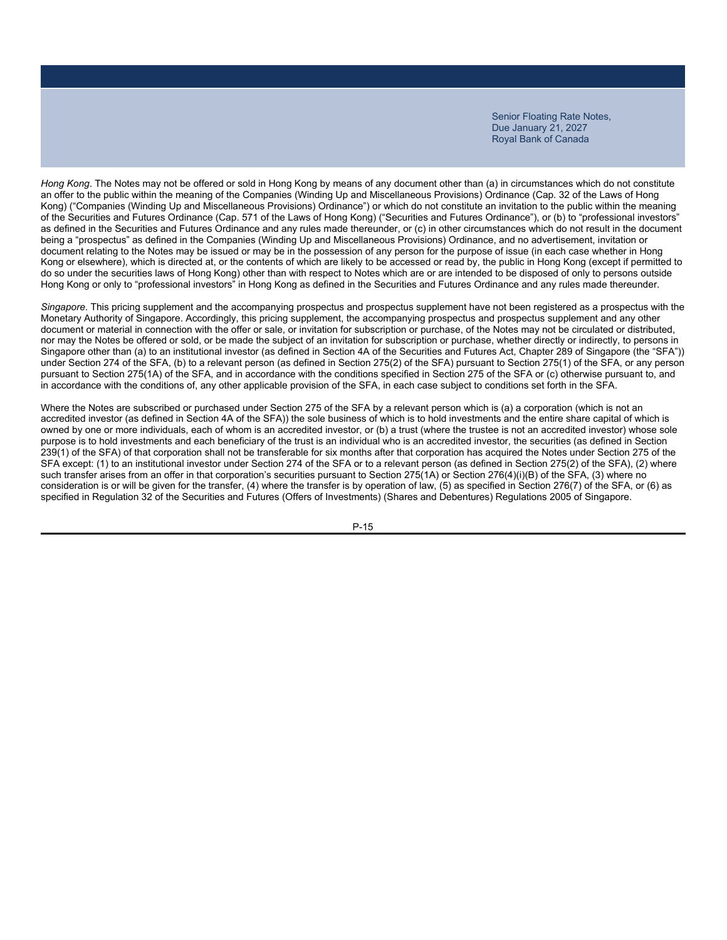*Hong Kong*. The Notes may not be offered or sold in Hong Kong by means of any document other than (a) in circumstances which do not constitute an offer to the public within the meaning of the Companies (Winding Up and Miscellaneous Provisions) Ordinance (Cap. 32 of the Laws of Hong Kong) ("Companies (Winding Up and Miscellaneous Provisions) Ordinance") or which do not constitute an invitation to the public within the meaning of the Securities and Futures Ordinance (Cap. 571 of the Laws of Hong Kong) ("Securities and Futures Ordinance"), or (b) to "professional investors" as defined in the Securities and Futures Ordinance and any rules made thereunder, or (c) in other circumstances which do not result in the document being a "prospectus" as defined in the Companies (Winding Up and Miscellaneous Provisions) Ordinance, and no advertisement, invitation or document relating to the Notes may be issued or may be in the possession of any person for the purpose of issue (in each case whether in Hong Kong or elsewhere), which is directed at, or the contents of which are likely to be accessed or read by, the public in Hong Kong (except if permitted to do so under the securities laws of Hong Kong) other than with respect to Notes which are or are intended to be disposed of only to persons outside Hong Kong or only to "professional investors" in Hong Kong as defined in the Securities and Futures Ordinance and any rules made thereunder.

*Singapore*. This pricing supplement and the accompanying prospectus and prospectus supplement have not been registered as a prospectus with the Monetary Authority of Singapore. Accordingly, this pricing supplement, the accompanying prospectus and prospectus supplement and any other document or material in connection with the offer or sale, or invitation for subscription or purchase, of the Notes may not be circulated or distributed, nor may the Notes be offered or sold, or be made the subject of an invitation for subscription or purchase, whether directly or indirectly, to persons in Singapore other than (a) to an institutional investor (as defined in Section 4A of the Securities and Futures Act, Chapter 289 of Singapore (the "SFA")) under Section 274 of the SFA, (b) to a relevant person (as defined in Section 275(2) of the SFA) pursuant to Section 275(1) of the SFA, or any person pursuant to Section 275(1A) of the SFA, and in accordance with the conditions specified in Section 275 of the SFA or (c) otherwise pursuant to, and in accordance with the conditions of, any other applicable provision of the SFA, in each case subject to conditions set forth in the SFA.

Where the Notes are subscribed or purchased under Section 275 of the SFA by a relevant person which is (a) a corporation (which is not an accredited investor (as defined in Section 4A of the SFA)) the sole business of which is to hold investments and the entire share capital of which is owned by one or more individuals, each of whom is an accredited investor, or (b) a trust (where the trustee is not an accredited investor) whose sole purpose is to hold investments and each beneficiary of the trust is an individual who is an accredited investor, the securities (as defined in Section 239(1) of the SFA) of that corporation shall not be transferable for six months after that corporation has acquired the Notes under Section 275 of the SFA except: (1) to an institutional investor under Section 274 of the SFA or to a relevant person (as defined in Section 275(2) of the SFA), (2) where such transfer arises from an offer in that corporation's securities pursuant to Section 275(1A) or Section 276(4)(i)(B) of the SFA, (3) where no consideration is or will be given for the transfer, (4) where the transfer is by operation of law, (5) as specified in Section 276(7) of the SFA, or (6) as specified in Regulation 32 of the Securities and Futures (Offers of Investments) (Shares and Debentures) Regulations 2005 of Singapore.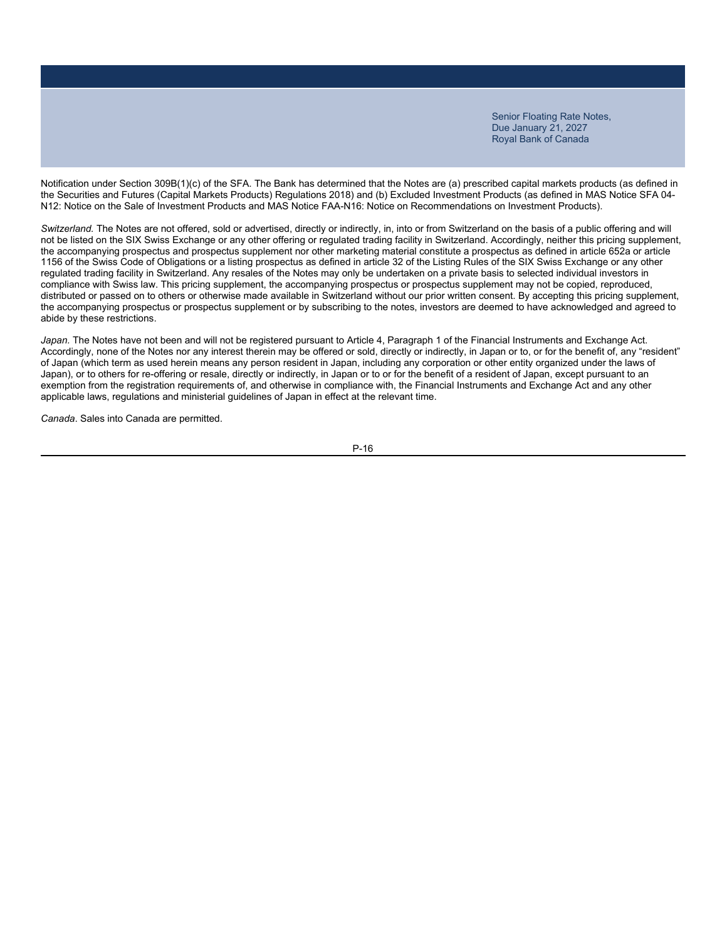Notification under Section 309B(1)(c) of the SFA. The Bank has determined that the Notes are (a) prescribed capital markets products (as defined in the Securities and Futures (Capital Markets Products) Regulations 2018) and (b) Excluded Investment Products (as defined in MAS Notice SFA 04- N12: Notice on the Sale of Investment Products and MAS Notice FAA-N16: Notice on Recommendations on Investment Products).

*Switzerland.* The Notes are not offered, sold or advertised, directly or indirectly, in, into or from Switzerland on the basis of a public offering and will not be listed on the SIX Swiss Exchange or any other offering or regulated trading facility in Switzerland. Accordingly, neither this pricing supplement, the accompanying prospectus and prospectus supplement nor other marketing material constitute a prospectus as defined in article 652a or article 1156 of the Swiss Code of Obligations or a listing prospectus as defined in article 32 of the Listing Rules of the SIX Swiss Exchange or any other regulated trading facility in Switzerland. Any resales of the Notes may only be undertaken on a private basis to selected individual investors in compliance with Swiss law. This pricing supplement, the accompanying prospectus or prospectus supplement may not be copied, reproduced, distributed or passed on to others or otherwise made available in Switzerland without our prior written consent. By accepting this pricing supplement, the accompanying prospectus or prospectus supplement or by subscribing to the notes, investors are deemed to have acknowledged and agreed to abide by these restrictions.

Japan. The Notes have not been and will not be registered pursuant to Article 4, Paragraph 1 of the Financial Instruments and Exchange Act. Accordingly, none of the Notes nor any interest therein may be offered or sold, directly or indirectly, in Japan or to, or for the benefit of, any "resident" of Japan (which term as used herein means any person resident in Japan, including any corporation or other entity organized under the laws of Japan), or to others for re-offering or resale, directly or indirectly, in Japan or to or for the benefit of a resident of Japan, except pursuant to an exemption from the registration requirements of, and otherwise in compliance with, the Financial Instruments and Exchange Act and any other applicable laws, regulations and ministerial guidelines of Japan in effect at the relevant time.

*Canada*. Sales into Canada are permitted.